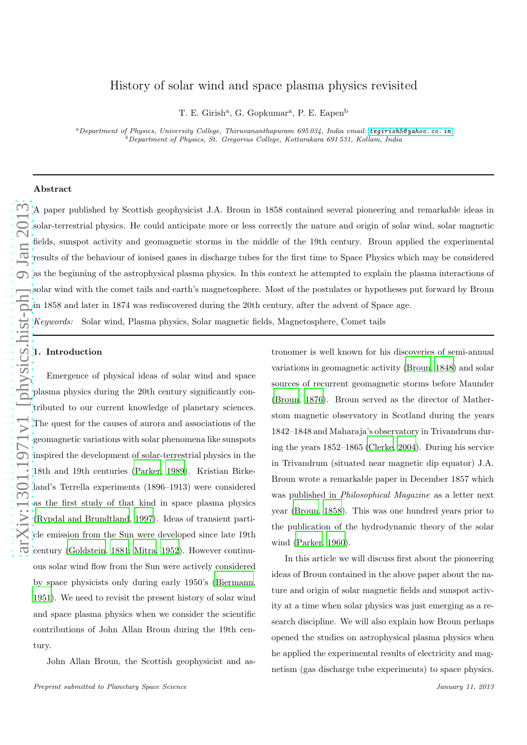## History of solar wind and space plasma physics revisited

T. E. Girish<sup>a</sup>, G. Gopkumar<sup>a</sup>, P. E. Eapen<sup>b</sup>

<sup>a</sup>*Department of Physics, University College, Thiruvananthapuram 695 034, India email:* [tegirish5@ yahoo. co. in](tegirish5@yahoo.co.in) <sup>b</sup>*Department of Physics, St. Gregorius College, Kottarakara 691 531, Kollam, India*

## Abstract

A paper published by Scottish geophysicist J.A. Broun in 1858 contained several pioneering and remarkable ideas in solar-terrestrial physics. He could anticipate more or less correctly the nature and origin of solar wind, solar magnetic fields, sunspot activity and geomagnetic storms in the middle of the 19th century. Broun applied the experimental results of the behaviour of ionised gases in discharge tubes for the first time to Space Physics which may be considered as the beginning of the astrophysical plasma physics. In this context he attempted to explain the plasma interactions of solar wind with the comet tails and earth's magnetosphere. Most of the postulates or hypotheses put forward by Broun in 1858 and later in 1874 was rediscovered during the 20th century, after the advent of Space age.

Keywords: Solar wind, Plasma physics, Solar magnetic fields, Magnetosphere, Comet tails

A paper published of the behavior of the behavior of fields, sunspot active fields, sunspot active fields, sunspot active of the behavior of solar wind with the  $\frac{1}{2}$  in 1858 and later in  $\frac{1}{2}$  Keywords: Solar  $\cdot$ Emergence of physical ideas of solar wind and space plasma physics during the 20th century significantly contributed to our current knowledge of planetary sciences. The quest for the causes of aurora and associations of the geomagnetic variations with solar phenomena like sunspots inspired the development of solar-terrestrial physics in the 18th and 19th centuries [\(Parker](#page-6-0), [1989](#page-6-0)). Kristian Birkeland's Terrella experiments (1896–1913) were considered as the first study of that kind in space plasma physics [\(Rypdal and Brundtland](#page-6-1), [1997\)](#page-6-1). Ideas of transient particle emission from the Sun were developed since late 19th century [\(Goldstein](#page-6-2), [1881](#page-6-2); [Mitra, 1952\)](#page-6-3). However continuous solar wind flow from the Sun were actively considered by space physicists only during early 1950's [\(Biermann,](#page-6-4) [1951\)](#page-6-4). We need to revisit the present history of solar wind and space plasma physics when we consider the scientific contributions of John Allan Broun during the 19th century.

John Allan Broun, the Scottish geophysicist and as-

tronomer is well known for his discoveries of semi-annual variations in geomagnetic activity [\(Broun](#page-6-5), [1848\)](#page-6-5) and solar sources of recurrent geomagnetic storms before Maunder [\(Broun, 1876\)](#page-6-6). Broun served as the director of Matherstom magnetic observatory in Scotland during the years 1842–1848 and Maharaja's observatory in Trivandrum during the years 1852–1865 [\(Clerke, 2004\)](#page-6-7). During his service in Trivandrum (situated near magnetic dip equator) J.A. Broun wrote a remarkable paper in December 1857 which was published in Philosophical Magazine as a letter next year [\(Broun, 1858\)](#page-6-8). This was one hundred years prior to the publication of the hydrodynamic theory of the solar wind [\(Parker, 1960\)](#page-6-9).

In this article we will discuss first about the pioneering ideas of Broun contained in the above paper about the nature and origin of solar magnetic fields and sunspot activity at a time when solar physics was just emerging as a research discipline. We will also explain how Broun perhaps opened the studies on astrophysical plasma physics when he applied the experimental results of electricity and magnetism (gas discharge tube experiments) to space physics.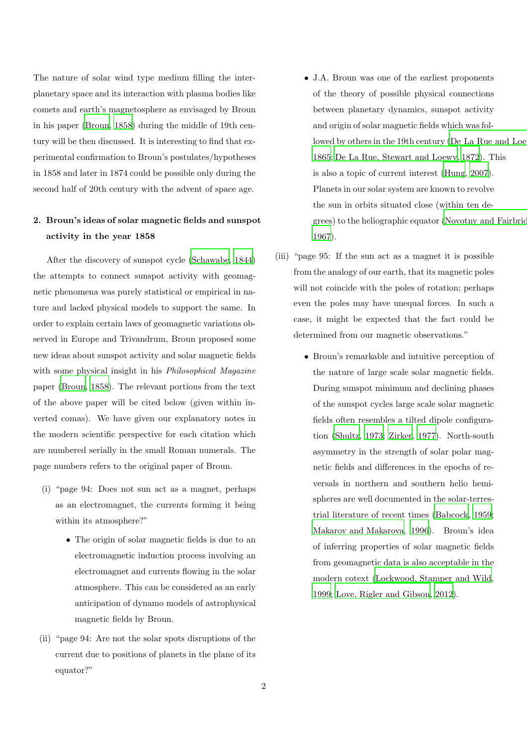The nature of solar wind type medium filling the interplanetary space and its interaction with plasma bodies like comets and earth's magnetosphere as envisaged by Broun in his paper [\(Broun](#page-6-8), [1858](#page-6-8)) during the middle of 19th century will be then discussed. It is interesting to find that experimental confirmation to Broun's postulates/hypotheses in 1858 and later in 1874 could be possible only during the second half of 20th century with the advent of space age.

# 2. Broun's ideas of solar magnetic fields and sunspot activity in the year 1858

After the discovery of sunspot cycle [\(Schawabe, 1844\)](#page-6-10) the attempts to connect sunspot activity with geomagnetic phenomena was purely statistical or empirical in nature and lacked physical models to support the same. In order to explain certain laws of geomagnetic variations observed in Europe and Trivandrum, Broun proposed some new ideas about sunspot activity and solar magnetic fields with some physical insight in his *Philosophical Magazine* paper [\(Broun](#page-6-8), [1858\)](#page-6-8). The relevant portions from the text of the above paper will be cited below (given within inverted comas). We have given our explanatory notes in the modern scientific perspective for each citation which are numbered serially in the small Roman numerals. The page numbers refers to the original paper of Broun.

- (i) "page 94: Does not sun act as a magnet, perhaps as an electromagnet, the currents forming it being within its atmosphere?"
	- The origin of solar magnetic fields is due to an electromagnetic induction process involving an electromagnet and currents flowing in the solar atmosphere. This can be considered as an early anticipation of dynamo models of astrophysical magnetic fields by Broun.
- (ii) "page 94: Are not the solar spots disruptions of the current due to positions of planets in the plane of its equator?"
- J.A. Broun was one of the earliest proponents of the theory of possible physical connections between planetary dynamics, sunspot activity and origin of solar magnetic fields which was followed by others in the 19th century (De La Rue and Loe [1865;](#page-6-11) [De La Rue, Stewart and Loewy](#page-6-12), [1872](#page-6-12)). This is also a topic of current interest [\(Hung](#page-6-13), [2007](#page-6-13)). Planets in our solar system are known to revolve the sun in orbits situated close (within ten degrees) to the heliographic equator [\(Novotny and Fairbridge](#page-6-14) [1967\)](#page-6-14).
- (iii) "page 95: If the sun act as a magnet it is possible from the analogy of our earth, that its magnetic poles will not coincide with the poles of rotation; perhaps even the poles may have unequal forces. In such a case, it might be expected that the fact could be determined from our magnetic observations."
	- Broun's remarkable and intuitive perception of the nature of large scale solar magnetic fields. During sunspot minimum and declining phases of the sunspot cycles large scale solar magnetic fields often resembles a tilted dipole configuration [\(Shultz, 1973;](#page-6-15) [Zirker](#page-7-0), [1977\)](#page-7-0). North-south asymmetry in the strength of solar polar magnetic fields and differences in the epochs of reversals in northern and southern helio hemispheres are well documented in the solar-terrestrial literature of recent times [\(Babcock, 1959;](#page-6-16) [Makarov and Makarova, 1996\)](#page-6-17). Broun's idea of inferring properties of solar magnetic fields from geomagnetic data is also acceptable in the modern cotext [\(Lockwood, Stamper and Wild,](#page-6-18) [1999;](#page-6-18) [Love, Rigler and Gibson](#page-6-19), [2012\)](#page-6-19).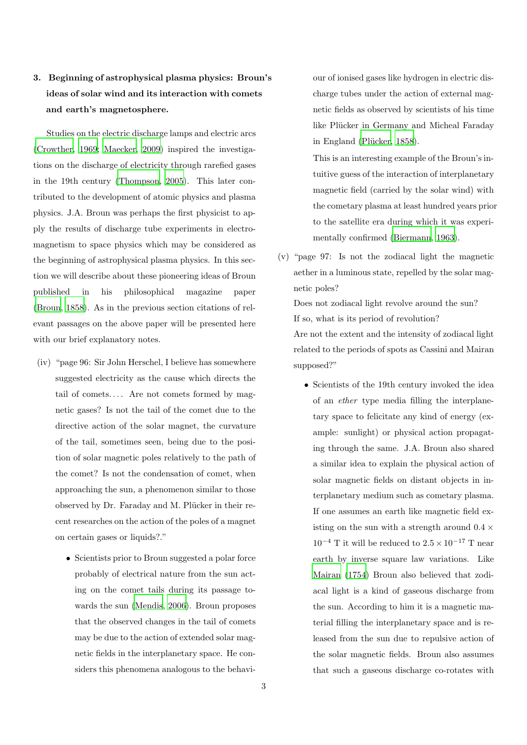# 3. Beginning of astrophysical plasma physics: Broun's ideas of solar wind and its interaction with comets and earth's magnetosphere.

Studies on the electric discharge lamps and electric arcs [\(Crowther](#page-6-20), [1969;](#page-6-20) [Maecker, 2009\)](#page-6-21) inspired the investigations on the discharge of electricity through rarefied gases in the 19th century [\(Thompson, 2005](#page-7-1)). This later contributed to the development of atomic physics and plasma physics. J.A. Broun was perhaps the first physicist to apply the results of discharge tube experiments in electromagnetism to space physics which may be considered as the beginning of astrophysical plasma physics. In this section we will describe about these pioneering ideas of Broun published in his philosophical magazine paper [\(Broun, 1858\)](#page-6-8). As in the previous section citations of relevant passages on the above paper will be presented here with our brief explanatory notes.

- (iv) "page 96: Sir John Herschel, I believe has somewhere suggested electricity as the cause which directs the tail of comets.... Are not comets formed by magnetic gases? Is not the tail of the comet due to the directive action of the solar magnet, the curvature of the tail, sometimes seen, being due to the position of solar magnetic poles relatively to the path of the comet? Is not the condensation of comet, when approaching the sun, a phenomenon similar to those observed by Dr. Faraday and M. Plücker in their recent researches on the action of the poles of a magnet on certain gases or liquids?."
	- Scientists prior to Broun suggested a polar force probably of electrical nature from the sun acting on the comet tails during its passage towards the sun [\(Mendis, 2006\)](#page-6-22). Broun proposes that the observed changes in the tail of comets may be due to the action of extended solar magnetic fields in the interplanetary space. He considers this phenomena analogous to the behavi-

our of ionised gases like hydrogen in electric discharge tubes under the action of external magnetic fields as observed by scientists of his time like Plücker in Germany and Micheal Faraday in England (Plücker, 1858).

- This is an interesting example of the Broun's intuitive guess of the interaction of interplanetary magnetic field (carried by the solar wind) with the cometary plasma at least hundred years prior to the satellite era during which it was experimentally confirmed [\(Biermann, 1963\)](#page-6-24).
- (v) "page 97: Is not the zodiacal light the magnetic aether in a luminous state, repelled by the solar magnetic poles?

Does not zodiacal light revolve around the sun? If so, what is its period of revolution? Are not the extent and the intensity of zodiacal light

related to the periods of spots as Cassini and Mairan supposed?"

• Scientists of the 19th century invoked the idea of an ether type media filling the interplanetary space to felicitate any kind of energy (example: sunlight) or physical action propagating through the same. J.A. Broun also shared a similar idea to explain the physical action of solar magnetic fields on distant objects in interplanetary medium such as cometary plasma. If one assumes an earth like magnetic field existing on the sun with a strength around  $0.4 \times$  $10^{-4}$  T it will be reduced to  $2.5 \times 10^{-17}$  T near earth by inverse square law variations. Like [Mairan \(1754](#page-6-25)) Broun also believed that zodiacal light is a kind of gaseous discharge from the sun. According to him it is a magnetic material filling the interplanetary space and is released from the sun due to repulsive action of the solar magnetic fields. Broun also assumes that such a gaseous discharge co-rotates with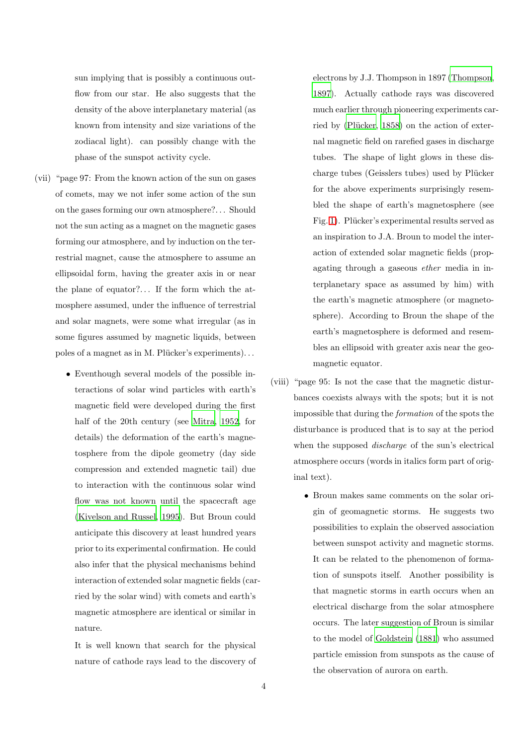sun implying that is possibly a continuous outflow from our star. He also suggests that the density of the above interplanetary material (as known from intensity and size variations of the zodiacal light). can possibly change with the phase of the sunspot activity cycle.

- (vii) "page 97: From the known action of the sun on gases of comets, may we not infer some action of the sun on the gases forming our own atmosphere?. . . Should not the sun acting as a magnet on the magnetic gases forming our atmosphere, and by induction on the terrestrial magnet, cause the atmosphere to assume an ellipsoidal form, having the greater axis in or near the plane of equator?. . . If the form which the atmosphere assumed, under the influence of terrestrial and solar magnets, were some what irregular (as in some figures assumed by magnetic liquids, between poles of a magnet as in M. Plücker's experiments)...
	- Eventhough several models of the possible interactions of solar wind particles with earth's magnetic field were developed during the first half of the 20th century (see [Mitra](#page-6-3), [1952,](#page-6-3) for details) the deformation of the earth's magnetosphere from the dipole geometry (day side compression and extended magnetic tail) due to interaction with the continuous solar wind flow was not known until the spacecraft age [\(Kivelson and Russel](#page-6-26), [1995\)](#page-6-26). But Broun could anticipate this discovery at least hundred years prior to its experimental confirmation. He could also infer that the physical mechanisms behind interaction of extended solar magnetic fields (carried by the solar wind) with comets and earth's magnetic atmosphere are identical or similar in nature.

It is well known that search for the physical nature of cathode rays lead to the discovery of electrons by J.J. Thompson in 1897 [\(Thompson](#page-6-27), [1897\)](#page-6-27). Actually cathode rays was discovered much earlier through pioneering experiments carried by (Plücker,  $1858$ ) on the action of external magnetic field on rarefied gases in discharge tubes. The shape of light glows in these discharge tubes (Geisslers tubes) used by Plücker for the above experiments surprisingly resembled the shape of earth's magnetosphere (see Fig. [1\)](#page-4-0). Plücker's experimental results served as an inspiration to J.A. Broun to model the interaction of extended solar magnetic fields (propagating through a gaseous ether media in interplanetary space as assumed by him) with the earth's magnetic atmosphere (or magnetosphere). According to Broun the shape of the earth's magnetosphere is deformed and resembles an ellipsoid with greater axis near the geomagnetic equator.

- (viii) "page 95: Is not the case that the magnetic disturbances coexists always with the spots; but it is not impossible that during the formation of the spots the disturbance is produced that is to say at the period when the supposed *discharge* of the sun's electrical atmosphere occurs (words in italics form part of original text).
	- Broun makes same comments on the solar origin of geomagnetic storms. He suggests two possibilities to explain the observed association between sunspot activity and magnetic storms. It can be related to the phenomenon of formation of sunspots itself. Another possibility is that magnetic storms in earth occurs when an electrical discharge from the solar atmosphere occurs. The later suggestion of Broun is similar to the model of [Goldstein \(1881\)](#page-6-2) who assumed particle emission from sunspots as the cause of the observation of aurora on earth.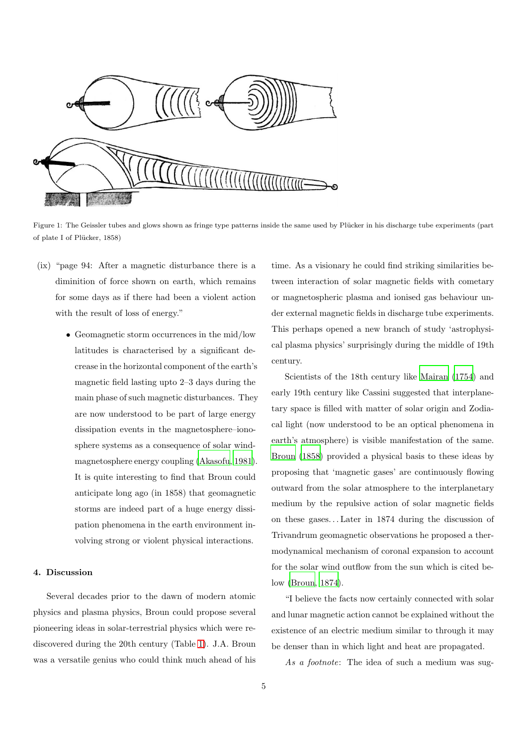

<span id="page-4-0"></span>Figure 1: The Geissler tubes and glows shown as fringe type patterns inside the same used by Plücker in his discharge tube experiments (part of plate I of Plücker, 1858)

- (ix) "page 94: After a magnetic disturbance there is a diminition of force shown on earth, which remains for some days as if there had been a violent action with the result of loss of energy."
	- Geomagnetic storm occurrences in the mid/low latitudes is characterised by a significant decrease in the horizontal component of the earth's magnetic field lasting upto 2–3 days during the main phase of such magnetic disturbances. They are now understood to be part of large energy dissipation events in the magnetosphere–ionosphere systems as a consequence of solar windmagnetosphere energy coupling [\(Akasofu, 1981\)](#page-6-28). It is quite interesting to find that Broun could anticipate long ago (in 1858) that geomagnetic storms are indeed part of a huge energy dissipation phenomena in the earth environment involving strong or violent physical interactions.

## 4. Discussion

Several decades prior to the dawn of modern atomic physics and plasma physics, Broun could propose several pioneering ideas in solar-terrestrial physics which were rediscovered during the 20th century (Table [1\)](#page-5-0). J.A. Broun was a versatile genius who could think much ahead of his

time. As a visionary he could find striking similarities between interaction of solar magnetic fields with cometary or magnetospheric plasma and ionised gas behaviour under external magnetic fields in discharge tube experiments. This perhaps opened a new branch of study 'astrophysical plasma physics' surprisingly during the middle of 19th century.

Scientists of the 18th century like [Mairan \(1754\)](#page-6-25) and early 19th century like Cassini suggested that interplanetary space is filled with matter of solar origin and Zodiacal light (now understood to be an optical phenomena in earth's atmosphere) is visible manifestation of the same. [Broun \(1858](#page-6-8)) provided a physical basis to these ideas by proposing that 'magnetic gases' are continuously flowing outward from the solar atmosphere to the interplanetary medium by the repulsive action of solar magnetic fields on these gases. . . Later in 1874 during the discussion of Trivandrum geomagnetic observations he proposed a thermodynamical mechanism of coronal expansion to account for the solar wind outflow from the sun which is cited below [\(Broun, 1874\)](#page-6-29).

"I believe the facts now certainly connected with solar and lunar magnetic action cannot be explained without the existence of an electric medium similar to through it may be denser than in which light and heat are propagated.

As a footnote: The idea of such a medium was sug-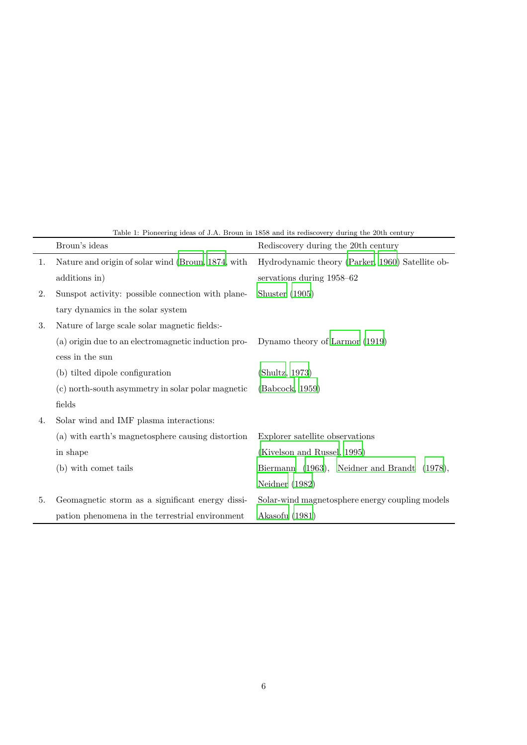|    | Broun's ideas                                       | Rediscovery during the 20th century               |
|----|-----------------------------------------------------|---------------------------------------------------|
| 1. | Nature and origin of solar wind (Broun, 1874, with  | Hydrodynamic theory (Parker, 1960) Satellite ob-  |
|    | additions in)                                       | servations during 1958–62                         |
| 2. | Sunspot activity: possible connection with plane-   | Shuster $(1905)$                                  |
|    | tary dynamics in the solar system                   |                                                   |
| 3. | Nature of large scale solar magnetic fields:-       |                                                   |
|    | (a) origin due to an electromagnetic induction pro- | Dynamo theory of Larmor (1919)                    |
|    | cess in the sun                                     |                                                   |
|    | (b) tilted dipole configuration                     | (Shultz, 1973)                                    |
|    | (c) north-south asymmetry in solar polar magnetic   | (Babcock, 1959)                                   |
|    | fields                                              |                                                   |
| 4. | Solar wind and IMF plasma interactions:             |                                                   |
|    | (a) with earth's magnetosphere causing distortion   | Explorer satellite observations                   |
|    | in shape                                            | (Kivelson and Russel, 1995)                       |
|    | (b) with comet tails                                | Biermann (1963), Neidner and Brandt<br>$(1978)$ , |
|    |                                                     | Neidner $(1982)$                                  |
| 5. | Geomagnetic storm as a significant energy dissi-    | Solar-wind magnetosphere energy coupling models   |
|    | pation phenomena in the terrestrial environment     | Akasofu (1981)                                    |

<span id="page-5-0"></span>Table 1: Pioneering ideas of J.A. Broun in 1858 and its rediscovery during the 20th century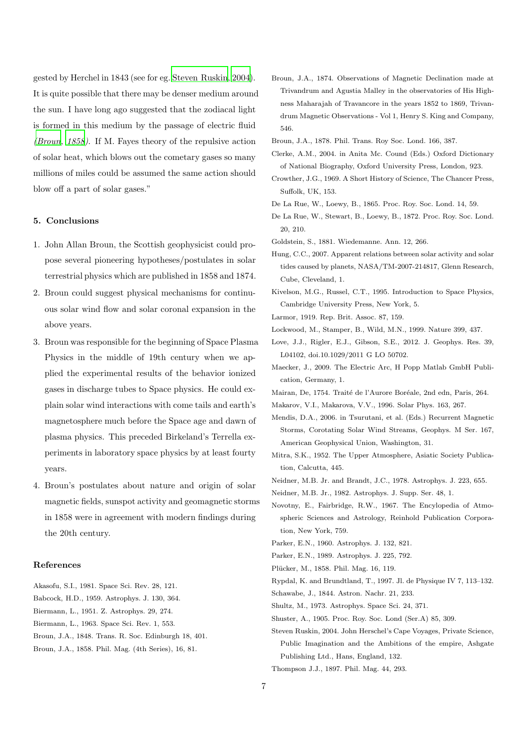gested by Herchel in 1843 (see for eg. [Steven Ruskin](#page-6-34), [2004\)](#page-6-34). It is quite possible that there may be denser medium around the sun. I have long ago suggested that the zodiacal light is formed in this medium by the passage of electric fluid [\(Broun](#page-6-8), [1858](#page-6-8)). If M. Fayes theory of the repulsive action of solar heat, which blows out the cometary gases so many millions of miles could be assumed the same action should blow off a part of solar gases."

## 5. Conclusions

- 1. John Allan Broun, the Scottish geophysicist could propose several pioneering hypotheses/postulates in solar terrestrial physics which are published in 1858 and 1874.
- 2. Broun could suggest physical mechanisms for continuous solar wind flow and solar coronal expansion in the above years.
- 3. Broun was responsible for the beginning of Space Plasma Physics in the middle of 19th century when we applied the experimental results of the behavior ionized gases in discharge tubes to Space physics. He could explain solar wind interactions with come tails and earth's magnetosphere much before the Space age and dawn of plasma physics. This preceded Birkeland's Terrella experiments in laboratory space physics by at least fourty years.
- 4. Broun's postulates about nature and origin of solar magnetic fields, sunspot activity and geomagnetic storms in 1858 were in agreement with modern findings during the 20th century.

## References

- <span id="page-6-28"></span>Akasofu, S.I., 1981. Space Sci. Rev. 28, 121. Babcock, H.D., 1959. Astrophys. J. 130, 364.
- <span id="page-6-16"></span><span id="page-6-4"></span>Biermann, L., 1951. Z. Astrophys. 29, 274.
- <span id="page-6-24"></span>Biermann, L., 1963. Space Sci. Rev. 1, 553.
- <span id="page-6-5"></span>Broun, J.A., 1848. Trans. R. Soc. Edinburgh 18, 401.
- <span id="page-6-8"></span>Broun, J.A., 1858. Phil. Mag. (4th Series), 16, 81.
- <span id="page-6-29"></span>Broun, J.A., 1874. Observations of Magnetic Declination made at Trivandrum and Agustia Malley in the observatories of His Highness Maharajah of Travancore in the years 1852 to 1869, Trivandrum Magnetic Observations - Vol 1, Henry S. King and Company, 546.
- <span id="page-6-6"></span>Broun, J.A., 1878. Phil. Trans. Roy Soc. Lond. 166, 387.
- <span id="page-6-7"></span>Clerke, A.M., 2004. in Anita Mc. Cound (Eds.) Oxford Dictionary of National Biography, Oxford University Press, London, 923.
- <span id="page-6-20"></span>Crowther, J.G., 1969. A Short History of Science, The Chancer Press, Suffolk, UK, 153.
- <span id="page-6-11"></span>De La Rue, W., Loewy, B., 1865. Proc. Roy. Soc. Lond. 14, 59.
- <span id="page-6-12"></span>De La Rue, W., Stewart, B., Loewy, B., 1872. Proc. Roy. Soc. Lond. 20, 210.
- <span id="page-6-2"></span>Goldstein, S., 1881. Wiedemanne. Ann. 12, 266.
- <span id="page-6-13"></span>Hung, C.C., 2007. Apparent relations between solar activity and solar tides caused by planets, NASA/TM-2007-214817, Glenn Research, Cube, Cleveland, 1.
- <span id="page-6-26"></span>Kivelson, M.G., Russel, C.T., 1995. Introduction to Space Physics, Cambridge University Press, New York, 5.
- <span id="page-6-31"></span>Larmor, 1919. Rep. Brit. Assoc. 87, 159.
- <span id="page-6-18"></span>Lockwood, M., Stamper, B., Wild, M.N., 1999. Nature 399, 437.
- <span id="page-6-19"></span>Love, J.J., Rigler, E.J., Gibson, S.E., 2012. J. Geophys. Res. 39, L04102, doi.10.1029/2011 G LO 50702.
- <span id="page-6-21"></span>Maecker, J., 2009. The Electric Arc, H Popp Matlab GmbH Publication, Germany, 1.
- <span id="page-6-25"></span>Mairan, De, 1754. Traité de l'Aurore Boréale, 2nd edn, Paris, 264.
- <span id="page-6-17"></span>Makarov, V.I., Makarova, V.V., 1996. Solar Phys. 163, 267.
- <span id="page-6-22"></span>Mendis, D.A., 2006. in Tsurutani, et al. (Eds.) Recurrent Magnetic Storms, Corotating Solar Wind Streams, Geophys. M Ser. 167, American Geophysical Union, Washington, 31.
- <span id="page-6-3"></span>Mitra, S.K., 1952. The Upper Atmosphere, Asiatic Society Publication, Calcutta, 445.
- <span id="page-6-32"></span>Neidner, M.B. Jr. and Brandt, J.C., 1978. Astrophys. J. 223, 655.
- <span id="page-6-33"></span>Neidner, M.B. Jr., 1982. Astrophys. J. Supp. Ser. 48, 1.
- <span id="page-6-14"></span>Novotny, E., Fairbridge, R.W., 1967. The Encylopedia of Atmospheric Sciences and Astrology, Reinhold Publication Corporation, New York, 759.
- <span id="page-6-9"></span>Parker, E.N., 1960. Astrophys. J. 132, 821.
- <span id="page-6-0"></span>Parker, E.N., 1989. Astrophys. J. 225, 792.
- <span id="page-6-23"></span>Plücker, M., 1858. Phil. Mag. 16, 119.
- <span id="page-6-1"></span>Rypdal, K. and Brundtland, T., 1997. Jl. de Physique IV 7, 113–132.
- <span id="page-6-10"></span>Schawabe, J., 1844. Astron. Nachr. 21, 233.
- <span id="page-6-15"></span>Shultz, M., 1973. Astrophys. Space Sci. 24, 371.
- <span id="page-6-30"></span>Shuster, A., 1905. Proc. Roy. Soc. Lond (Ser.A) 85, 309.
- <span id="page-6-34"></span>Steven Ruskin, 2004. John Herschel's Cape Voyages, Private Science, Public Imagination and the Ambitions of the empire, Ashgate Publishing Ltd., Hans, England, 132.
- <span id="page-6-27"></span>Thompson J.J., 1897. Phil. Mag. 44, 293.